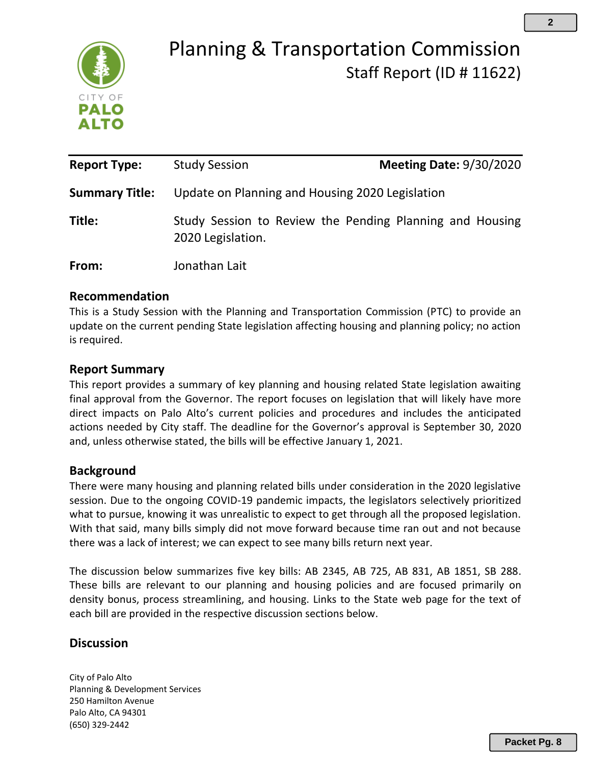

# Planning & Transportation Commission Staff Report (ID # 11622)

| <b>Report Type:</b>   | <b>Study Session</b>                            | <b>Meeting Date: 9/30/2020</b>                           |
|-----------------------|-------------------------------------------------|----------------------------------------------------------|
| <b>Summary Title:</b> | Update on Planning and Housing 2020 Legislation |                                                          |
| Title:                | 2020 Legislation.                               | Study Session to Review the Pending Planning and Housing |
| From:                 | Jonathan Lait                                   |                                                          |

## **Recommendation**

This is a Study Session with the Planning and Transportation Commission (PTC) to provide an update on the current pending State legislation affecting housing and planning policy; no action is required.

# **Report Summary**

This report provides a summary of key planning and housing related State legislation awaiting final approval from the Governor. The report focuses on legislation that will likely have more direct impacts on Palo Alto's current policies and procedures and includes the anticipated actions needed by City staff. The deadline for the Governor's approval is September 30, 2020 and, unless otherwise stated, the bills will be effective January 1, 2021.

## **Background**

There were many housing and planning related bills under consideration in the 2020 legislative session. Due to the ongoing COVID-19 pandemic impacts, the legislators selectively prioritized what to pursue, knowing it was unrealistic to expect to get through all the proposed legislation. With that said, many bills simply did not move forward because time ran out and not because there was a lack of interest; we can expect to see many bills return next year.

The discussion below summarizes five key bills: AB 2345, AB 725, AB 831, AB 1851, SB 288. These bills are relevant to our planning and housing policies and are focused primarily on density bonus, process streamlining, and housing. Links to the State web page for the text of each bill are provided in the respective discussion sections below.

# **Discussion**

City of Palo Alto Planning & Development Services 250 Hamilton Avenue Palo Alto, CA 94301 (650) 329-2442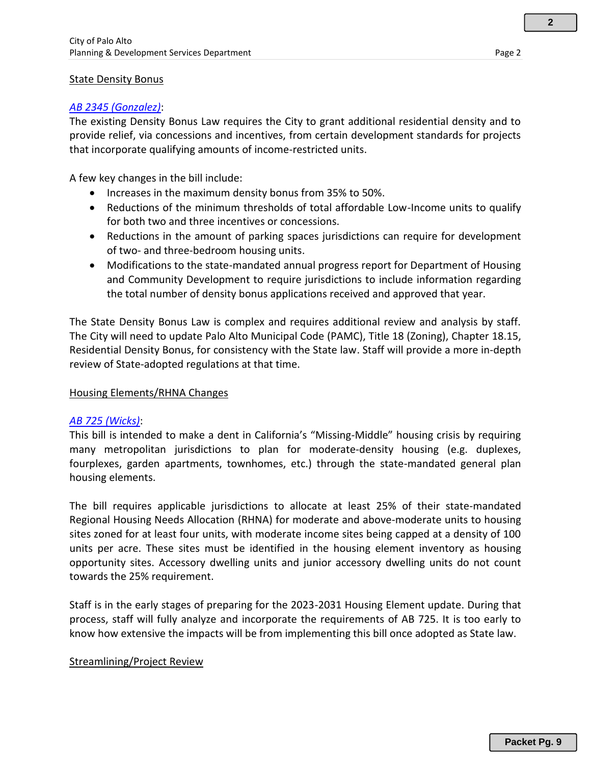#### **State Density Bonus**

#### *[AB 2345 \(Gonzalez\)](http://leginfo.legislature.ca.gov/faces/billNavClient.xhtml?bill_id=201920200AB2345)*:

The existing Density Bonus Law requires the City to grant additional residential density and to provide relief, via concessions and incentives, from certain development standards for projects that incorporate qualifying amounts of income-restricted units.

A few key changes in the bill include:

- Increases in the maximum density bonus from 35% to 50%.
- Reductions of the minimum thresholds of total affordable Low-Income units to qualify for both two and three incentives or concessions.
- Reductions in the amount of parking spaces jurisdictions can require for development of two- and three-bedroom housing units.
- Modifications to the state-mandated annual progress report for Department of Housing and Community Development to require jurisdictions to include information regarding the total number of density bonus applications received and approved that year.

The State Density Bonus Law is complex and requires additional review and analysis by staff. The City will need to update Palo Alto Municipal Code (PAMC), Title 18 (Zoning), Chapter 18.15, Residential Density Bonus, for consistency with the State law. Staff will provide a more in-depth review of State-adopted regulations at that time.

#### Housing Elements/RHNA Changes

#### *[AB 725 \(Wicks\)](https://leginfo.legislature.ca.gov/faces/billTextClient.xhtml?bill_id=201920200AB725)*:

This bill is intended to make a dent in California's "Missing-Middle" housing crisis by requiring many metropolitan jurisdictions to plan for moderate-density housing (e.g. duplexes, fourplexes, garden apartments, townhomes, etc.) through the state-mandated general plan housing elements.

The bill requires applicable jurisdictions to allocate at least 25% of their state-mandated Regional Housing Needs Allocation (RHNA) for moderate and above-moderate units to housing sites zoned for at least four units, with moderate income sites being capped at a density of 100 units per acre. These sites must be identified in the housing element inventory as housing opportunity sites. Accessory dwelling units and junior accessory dwelling units do not count towards the 25% requirement.

Staff is in the early stages of preparing for the 2023-2031 Housing Element update. During that process, staff will fully analyze and incorporate the requirements of AB 725. It is too early to know how extensive the impacts will be from implementing this bill once adopted as State law.

#### Streamlining/Project Review

**2**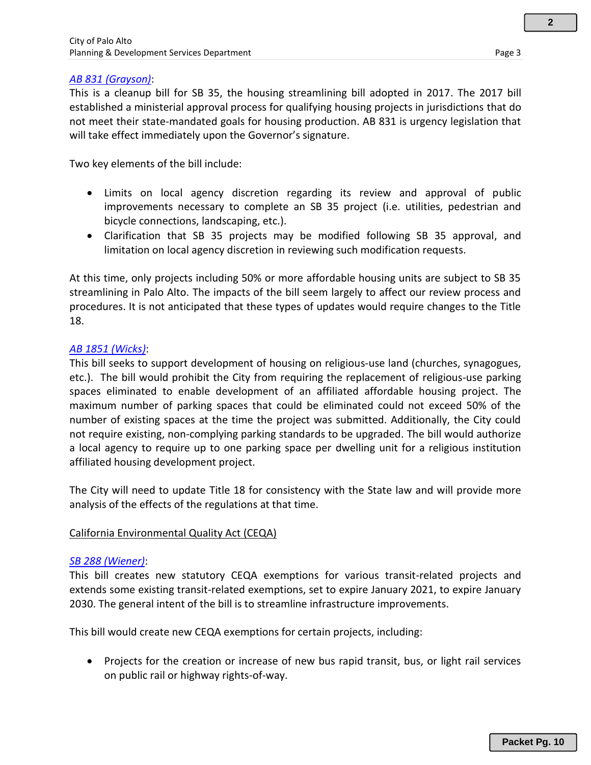**2**

#### *[AB 831 \(Grayson\)](https://leginfo.legislature.ca.gov/faces/billNavClient.xhtml?bill_id=201920200AB831)*:

This is a cleanup bill for SB 35, the housing streamlining bill adopted in 2017. The 2017 bill established a ministerial approval process for qualifying housing projects in jurisdictions that do not meet their state-mandated goals for housing production. AB 831 is urgency legislation that will take effect immediately upon the Governor's signature.

Two key elements of the bill include:

- Limits on local agency discretion regarding its review and approval of public improvements necessary to complete an SB 35 project (i.e. utilities, pedestrian and bicycle connections, landscaping, etc.).
- Clarification that SB 35 projects may be modified following SB 35 approval, and limitation on local agency discretion in reviewing such modification requests.

At this time, only projects including 50% or more affordable housing units are subject to SB 35 streamlining in Palo Alto. The impacts of the bill seem largely to affect our review process and procedures. It is not anticipated that these types of updates would require changes to the Title 18.

#### *[AB 1851 \(Wicks\)](https://leginfo.legislature.ca.gov/faces/billTextClient.xhtml?bill_id=201920200AB1851)*:

This bill seeks to support development of housing on religious-use land (churches, synagogues, etc.). The bill would prohibit the City from requiring the replacement of religious-use parking spaces eliminated to enable development of an affiliated affordable housing project. The maximum number of parking spaces that could be eliminated could not exceed 50% of the number of existing spaces at the time the project was submitted. Additionally, the City could not require existing, non-complying parking standards to be upgraded. The bill would authorize a local agency to require up to one parking space per dwelling unit for a religious institution affiliated housing development project.

The City will need to update Title 18 for consistency with the State law and will provide more analysis of the effects of the regulations at that time.

#### California Environmental Quality Act (CEQA)

#### *[SB 288 \(Wiener\)](https://leginfo.legislature.ca.gov/faces/billNavClient.xhtml?bill_id=201920200SB288)*:

This bill creates new statutory CEQA exemptions for various transit-related projects and extends some existing transit-related exemptions, set to expire January 2021, to expire January 2030. The general intent of the bill is to streamline infrastructure improvements.

This bill would create new CEQA exemptions for certain projects, including:

• Projects for the creation or increase of new bus rapid transit, bus, or light rail services on public rail or highway rights-of-way.